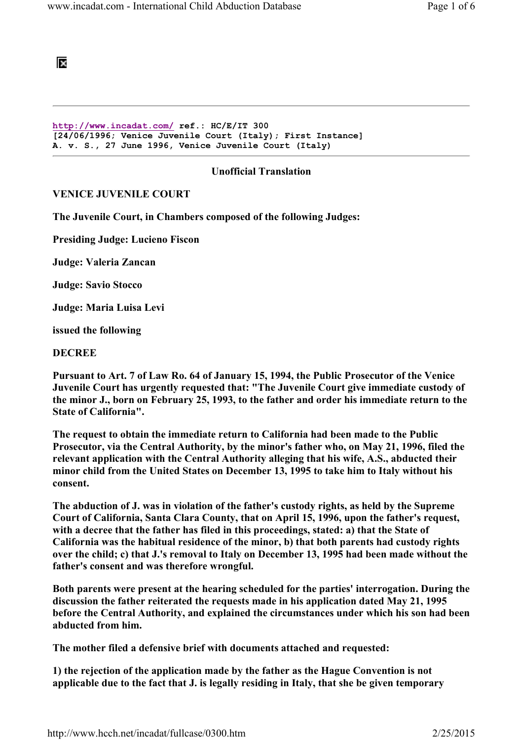阪

http://www.incadat.com/ ref.: HC/E/IT 300 [24/06/1996; Venice Juvenile Court (Italy); First Instance] A. v. S., 27 June 1996, Venice Juvenile Court (Italy)

## Unofficial Translation

## VENICE JUVENILE COURT

The Juvenile Court, in Chambers composed of the following Judges:

Presiding Judge: Lucieno Fiscon

Judge: Valeria Zancan

Judge: Savio Stocco

Judge: Maria Luisa Levi

issued the following

#### **DECREE**

Pursuant to Art. 7 of Law Ro. 64 of January 15, 1994, the Public Prosecutor of the Venice Juvenile Court has urgently requested that: "The Juvenile Court give immediate custody of the minor J., born on February 25, 1993, to the father and order his immediate return to the State of California".

The request to obtain the immediate return to California had been made to the Public Prosecutor, via the Central Authority, by the minor's father who, on May 21, 1996, filed the relevant application with the Central Authority alleging that his wife, A.S., abducted their minor child from the United States on December 13, 1995 to take him to Italy without his consent.

The abduction of J. was in violation of the father's custody rights, as held by the Supreme Court of California, Santa Clara County, that on April 15, 1996, upon the father's request, with a decree that the father has filed in this proceedings, stated: a) that the State of California was the habitual residence of the minor, b) that both parents had custody rights over the child; c) that J.'s removal to Italy on December 13, 1995 had been made without the father's consent and was therefore wrongful.

Both parents were present at the hearing scheduled for the parties' interrogation. During the discussion the father reiterated the requests made in his application dated May 21, 1995 before the Central Authority, and explained the circumstances under which his son had been abducted from him.

The mother filed a defensive brief with documents attached and requested:

1) the rejection of the application made by the father as the Hague Convention is not applicable due to the fact that J. is legally residing in Italy, that she be given temporary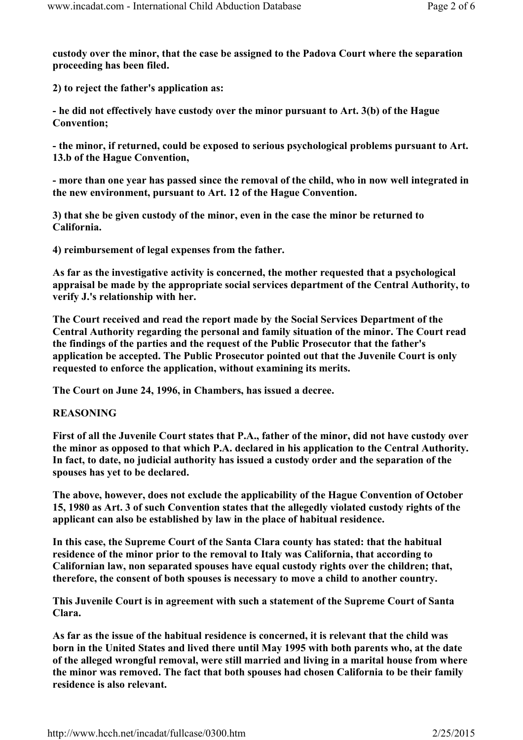custody over the minor, that the case be assigned to the Padova Court where the separation proceeding has been filed.

2) to reject the father's application as:

- he did not effectively have custody over the minor pursuant to Art. 3(b) of the Hague Convention;

- the minor, if returned, could be exposed to serious psychological problems pursuant to Art. 13.b of the Hague Convention,

- more than one year has passed since the removal of the child, who in now well integrated in the new environment, pursuant to Art. 12 of the Hague Convention.

3) that she be given custody of the minor, even in the case the minor be returned to California.

4) reimbursement of legal expenses from the father.

As far as the investigative activity is concerned, the mother requested that a psychological appraisal be made by the appropriate social services department of the Central Authority, to verify J.'s relationship with her.

The Court received and read the report made by the Social Services Department of the Central Authority regarding the personal and family situation of the minor. The Court read the findings of the parties and the request of the Public Prosecutor that the father's application be accepted. The Public Prosecutor pointed out that the Juvenile Court is only requested to enforce the application, without examining its merits.

The Court on June 24, 1996, in Chambers, has issued a decree.

# REASONING

First of all the Juvenile Court states that P.A., father of the minor, did not have custody over the minor as opposed to that which P.A. declared in his application to the Central Authority. In fact, to date, no judicial authority has issued a custody order and the separation of the spouses has yet to be declared.

The above, however, does not exclude the applicability of the Hague Convention of October 15, 1980 as Art. 3 of such Convention states that the allegedly violated custody rights of the applicant can also be established by law in the place of habitual residence.

In this case, the Supreme Court of the Santa Clara county has stated: that the habitual residence of the minor prior to the removal to Italy was California, that according to Californian law, non separated spouses have equal custody rights over the children; that, therefore, the consent of both spouses is necessary to move a child to another country.

This Juvenile Court is in agreement with such a statement of the Supreme Court of Santa Clara.

As far as the issue of the habitual residence is concerned, it is relevant that the child was born in the United States and lived there until May 1995 with both parents who, at the date of the alleged wrongful removal, were still married and living in a marital house from where the minor was removed. The fact that both spouses had chosen California to be their family residence is also relevant.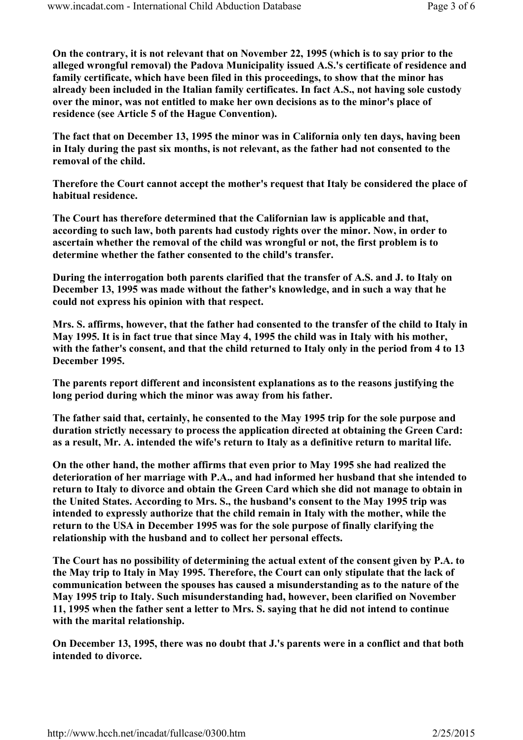On the contrary, it is not relevant that on November 22, 1995 (which is to say prior to the alleged wrongful removal) the Padova Municipality issued A.S.'s certificate of residence and family certificate, which have been filed in this proceedings, to show that the minor has already been included in the Italian family certificates. In fact A.S., not having sole custody over the minor, was not entitled to make her own decisions as to the minor's place of residence (see Article 5 of the Hague Convention).

The fact that on December 13, 1995 the minor was in California only ten days, having been in Italy during the past six months, is not relevant, as the father had not consented to the removal of the child.

Therefore the Court cannot accept the mother's request that Italy be considered the place of habitual residence.

The Court has therefore determined that the Californian law is applicable and that, according to such law, both parents had custody rights over the minor. Now, in order to ascertain whether the removal of the child was wrongful or not, the first problem is to determine whether the father consented to the child's transfer.

During the interrogation both parents clarified that the transfer of A.S. and J. to Italy on December 13, 1995 was made without the father's knowledge, and in such a way that he could not express his opinion with that respect.

Mrs. S. affirms, however, that the father had consented to the transfer of the child to Italy in May 1995. It is in fact true that since May 4, 1995 the child was in Italy with his mother, with the father's consent, and that the child returned to Italy only in the period from 4 to 13 December 1995.

The parents report different and inconsistent explanations as to the reasons justifying the long period during which the minor was away from his father.

The father said that, certainly, he consented to the May 1995 trip for the sole purpose and duration strictly necessary to process the application directed at obtaining the Green Card: as a result, Mr. A. intended the wife's return to Italy as a definitive return to marital life.

On the other hand, the mother affirms that even prior to May 1995 she had realized the deterioration of her marriage with P.A., and had informed her husband that she intended to return to Italy to divorce and obtain the Green Card which she did not manage to obtain in the United States. According to Mrs. S., the husband's consent to the May 1995 trip was intended to expressly authorize that the child remain in Italy with the mother, while the return to the USA in December 1995 was for the sole purpose of finally clarifying the relationship with the husband and to collect her personal effects.

The Court has no possibility of determining the actual extent of the consent given by P.A. to the May trip to Italy in May 1995. Therefore, the Court can only stipulate that the lack of communication between the spouses has caused a misunderstanding as to the nature of the May 1995 trip to Italy. Such misunderstanding had, however, been clarified on November 11, 1995 when the father sent a letter to Mrs. S. saying that he did not intend to continue with the marital relationship.

On December 13, 1995, there was no doubt that J.'s parents were in a conflict and that both intended to divorce.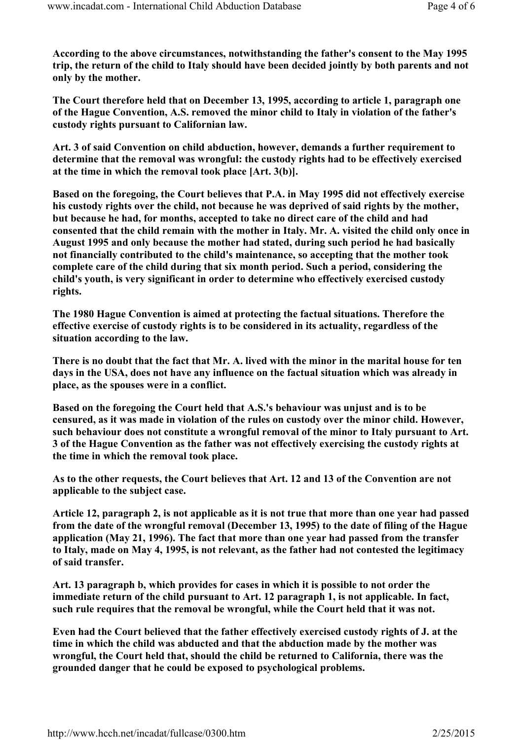According to the above circumstances, notwithstanding the father's consent to the May 1995 trip, the return of the child to Italy should have been decided jointly by both parents and not only by the mother.

The Court therefore held that on December 13, 1995, according to article 1, paragraph one of the Hague Convention, A.S. removed the minor child to Italy in violation of the father's custody rights pursuant to Californian law.

Art. 3 of said Convention on child abduction, however, demands a further requirement to determine that the removal was wrongful: the custody rights had to be effectively exercised at the time in which the removal took place [Art. 3(b)].

Based on the foregoing, the Court believes that P.A. in May 1995 did not effectively exercise his custody rights over the child, not because he was deprived of said rights by the mother, but because he had, for months, accepted to take no direct care of the child and had consented that the child remain with the mother in Italy. Mr. A. visited the child only once in August 1995 and only because the mother had stated, during such period he had basically not financially contributed to the child's maintenance, so accepting that the mother took complete care of the child during that six month period. Such a period, considering the child's youth, is very significant in order to determine who effectively exercised custody rights.

The 1980 Hague Convention is aimed at protecting the factual situations. Therefore the effective exercise of custody rights is to be considered in its actuality, regardless of the situation according to the law.

There is no doubt that the fact that Mr. A. lived with the minor in the marital house for ten days in the USA, does not have any influence on the factual situation which was already in place, as the spouses were in a conflict.

Based on the foregoing the Court held that A.S.'s behaviour was unjust and is to be censured, as it was made in violation of the rules on custody over the minor child. However, such behaviour does not constitute a wrongful removal of the minor to Italy pursuant to Art. 3 of the Hague Convention as the father was not effectively exercising the custody rights at the time in which the removal took place.

As to the other requests, the Court believes that Art. 12 and 13 of the Convention are not applicable to the subject case.

Article 12, paragraph 2, is not applicable as it is not true that more than one year had passed from the date of the wrongful removal (December 13, 1995) to the date of filing of the Hague application (May 21, 1996). The fact that more than one year had passed from the transfer to Italy, made on May 4, 1995, is not relevant, as the father had not contested the legitimacy of said transfer.

Art. 13 paragraph b, which provides for cases in which it is possible to not order the immediate return of the child pursuant to Art. 12 paragraph 1, is not applicable. In fact, such rule requires that the removal be wrongful, while the Court held that it was not.

Even had the Court believed that the father effectively exercised custody rights of J. at the time in which the child was abducted and that the abduction made by the mother was wrongful, the Court held that, should the child be returned to California, there was the grounded danger that he could be exposed to psychological problems.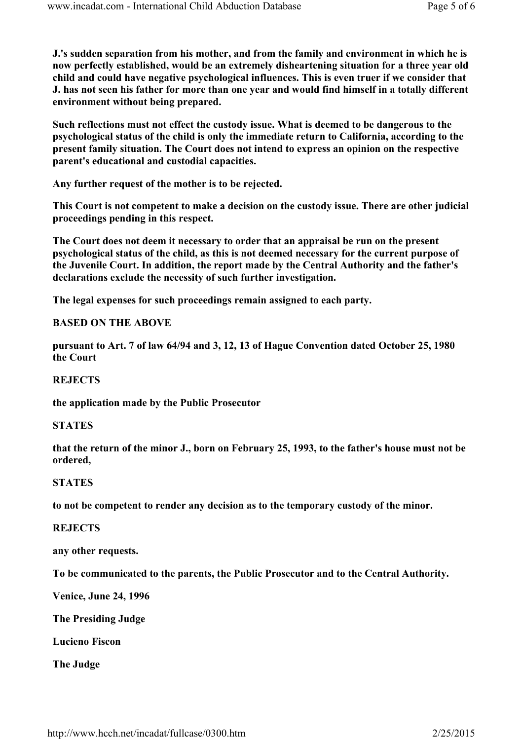J.'s sudden separation from his mother, and from the family and environment in which he is now perfectly established, would be an extremely disheartening situation for a three year old child and could have negative psychological influences. This is even truer if we consider that J. has not seen his father for more than one year and would find himself in a totally different environment without being prepared.

Such reflections must not effect the custody issue. What is deemed to be dangerous to the psychological status of the child is only the immediate return to California, according to the present family situation. The Court does not intend to express an opinion on the respective parent's educational and custodial capacities.

Any further request of the mother is to be rejected.

This Court is not competent to make a decision on the custody issue. There are other judicial proceedings pending in this respect.

The Court does not deem it necessary to order that an appraisal be run on the present psychological status of the child, as this is not deemed necessary for the current purpose of the Juvenile Court. In addition, the report made by the Central Authority and the father's declarations exclude the necessity of such further investigation.

The legal expenses for such proceedings remain assigned to each party.

## BASED ON THE ABOVE

pursuant to Art. 7 of law 64/94 and 3, 12, 13 of Hague Convention dated October 25, 1980 the Court

## **REJECTS**

the application made by the Public Prosecutor

## **STATES**

that the return of the minor J., born on February 25, 1993, to the father's house must not be ordered,

## **STATES**

to not be competent to render any decision as to the temporary custody of the minor.

## **REJECTS**

any other requests.

To be communicated to the parents, the Public Prosecutor and to the Central Authority.

Venice, June 24, 1996

The Presiding Judge

Lucieno Fiscon

The Judge